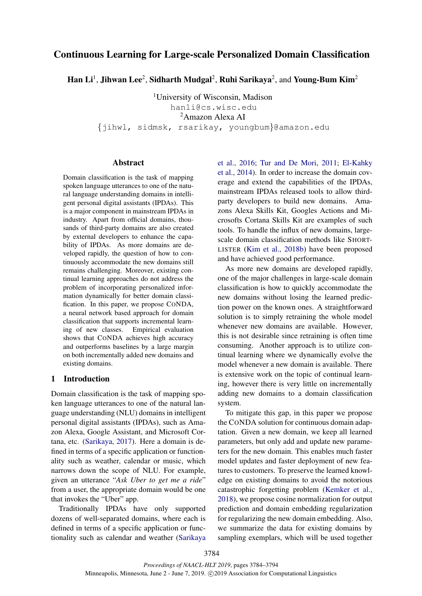# Continuous Learning for Large-scale Personalized Domain Classification

Han Li $^1$ , Jihwan Lee $^2$ , Sidharth Mudgal $^2$ , Ruhi Sarikaya $^2$ , and Young-Bum Kim $^2$ 

<sup>1</sup>University of Wisconsin, Madison hanli@cs.wisc.edu <sup>2</sup>Amazon Alexa AI {jihwl, sidmsk, rsarikay, youngbum}@amazon.edu

## Abstract

Domain classification is the task of mapping spoken language utterances to one of the natural language understanding domains in intelligent personal digital assistants (IPDAs). This is a major component in mainstream IPDAs in industry. Apart from official domains, thousands of third-party domains are also created by external developers to enhance the capability of IPDAs. As more domains are developed rapidly, the question of how to continuously accommodate the new domains still remains challenging. Moreover, existing continual learning approaches do not address the problem of incorporating personalized information dynamically for better domain classification. In this paper, we propose CONDA, a neural network based approach for domain classification that supports incremental learning of new classes. Empirical evaluation shows that CONDA achieves high accuracy and outperforms baselines by a large margin on both incrementally added new domains and existing domains.

## 1 Introduction

Domain classification is the task of mapping spoken language utterances to one of the natural language understanding (NLU) domains in intelligent personal digital assistants (IPDAs), such as Amazon Alexa, Google Assistant, and Microsoft Cortana, etc. [\(Sarikaya,](#page-9-0) [2017\)](#page-9-0). Here a domain is defined in terms of a specific application or functionality such as weather, calendar or music, which narrows down the scope of NLU. For example, given an utterance "*Ask Uber to get me a ride*" from a user, the appropriate domain would be one that invokes the "Uber" app.

Traditionally IPDAs have only supported dozens of well-separated domains, where each is defined in terms of a specific application or functionality such as calendar and weather [\(Sarikaya](#page-9-1) [et al.,](#page-9-1) [2016;](#page-9-1) [Tur and De Mori,](#page-9-2) [2011;](#page-9-2) [El-Kahky](#page-9-3) [et al.,](#page-9-3) [2014\)](#page-9-3). In order to increase the domain coverage and extend the capabilities of the IPDAs, mainstream IPDAs released tools to allow thirdparty developers to build new domains. Amazons Alexa Skills Kit, Googles Actions and Microsofts Cortana Skills Kit are examples of such tools. To handle the influx of new domains, largescale domain classification methods like SHORT-LISTER [\(Kim et al.,](#page-9-4) [2018b\)](#page-9-4) have been proposed and have achieved good performance.

As more new domains are developed rapidly, one of the major challenges in large-scale domain classification is how to quickly accommodate the new domains without losing the learned prediction power on the known ones. A straightforward solution is to simply retraining the whole model whenever new domains are available. However, this is not desirable since retraining is often time consuming. Another approach is to utilize continual learning where we dynamically evolve the model whenever a new domain is available. There is extensive work on the topic of continual learning, however there is very little on incrementally adding new domains to a domain classification system.

To mitigate this gap, in this paper we propose the CONDA solution for continuous domain adaptation. Given a new domain, we keep all learned parameters, but only add and update new parameters for the new domain. This enables much faster model updates and faster deployment of new features to customers. To preserve the learned knowledge on existing domains to avoid the notorious catastrophic forgetting problem [\(Kemker et al.,](#page-9-5) [2018\)](#page-9-5), we propose cosine normalization for output prediction and domain embedding regularization for regularizing the new domain embedding. Also, we summarize the data for existing domains by sampling exemplars, which will be used together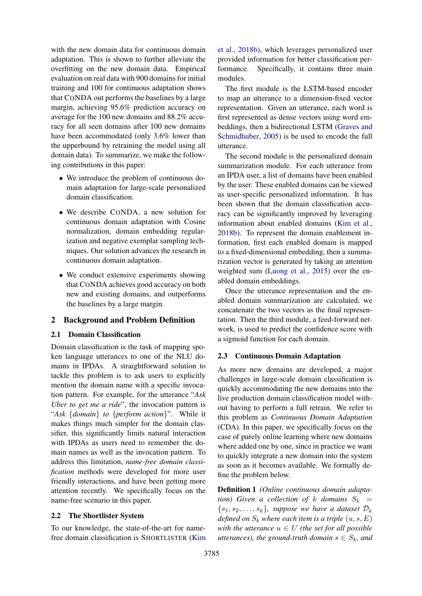with the new domain data for continuous domain adaptation. This is shown to further alleviate the overfitting on the new domain data. Empirical evaluation on real data with 900 domains for initial training and 100 for continuous adaptation shows that CONDA out performs the baselines by a large margin, achieving 95.6% prediction accuracy on average for the 100 new domains and 88.2% accuracy for all seen domains after 100 new domains have been accommodated (only 3.6% lower than the upperbound by retraining the model using all domain data). To summarize, we make the following contributions in this paper:

- We introduce the problem of continuous domain adaptation for large-scale personalized domain classification.
- We describe CONDA, a new solution for continuous domain adaptation with Cosine normalization, domain embedding regularization and negative exemplar sampling techniques. Our solution advances the research in continuous domain adaptation.
- We conduct extensive experiments showing that CONDA achieves good accuracy on both new and existing domains, and outperforms the baselines by a large margin.

# 2 Background and Problem Definition

# 2.1 Domain Classification

Domain classification is the task of mapping spoken language utterances to one of the NLU domains in IPDAs. A straightforward solution to tackle this problem is to ask users to explicitly mention the domain name with a specific invocation pattern. For example, for the utterance "*Ask Uber to get me a ride*", the invocation pattern is "*Ask* {*domain*} *to* {*perform action*}". While it makes things much simpler for the domain classifier, this significantly limits natural interaction with IPDAs as users need to remember the domain names as well as the invocation pattern. To address this limitation, *name-free domain classification* methods were developed for more user friendly interactions, and have been getting more attention recently. We specifically focus on the name-free scenario in this paper.

# 2.2 The Shortlister System

To our knowledge, the state-of-the-art for namefree domain classification is SHORTLISTER [\(Kim](#page-9-4)

[et al.,](#page-9-4) [2018b\)](#page-9-4), which leverages personalized user provided information for better classification performance. Specifically, it contains three main modules.

The first module is the LSTM-based encoder to map an utterance to a dimension-fixed vector representation. Given an utterance, each word is first represented as dense vectors using word embeddings, then a bidirectional LSTM [\(Graves and](#page-9-6) [Schmidhuber,](#page-9-6) [2005\)](#page-9-6) is be used to encode the full utterance.

The second module is the personalized domain summarization module. For each utterance from an IPDA user, a list of domains have been enabled by the user. These enabled domains can be viewed as user-specific personalized information. It has been shown that the domain classification accuracy can be significantly improved by leveraging information about enabled domains [\(Kim et al.,](#page-9-4) [2018b\)](#page-9-4). To represent the domain enablement information, first each enabled domain is mapped to a fixed-dimensional embedding, then a summarization vector is generated by taking an attention weighted sum [\(Luong et al.,](#page-9-7) [2015\)](#page-9-7) over the enabled domain embeddings.

Once the utterance representation and the enabled domain summarization are calculated, we concatenate the two vectors as the final representation. Then the third module, a feed-forward network, is used to predict the confidence score with a sigmoid function for each domain.

### 2.3 Continuous Domain Adaptation

As more new domains are developed, a major challenges in large-scale domain classification is quickly accommodating the new domains into the live production domain classification model without having to perform a full retrain. We refer to this problem as *Continuous Domain Adaptation* (CDA). In this paper, we specifically focus on the case of purely online learning where new domains where added one by one, since in practice we want to quickly integrate a new domain into the system as soon as it becomes available. We formally define the problem below.

<span id="page-1-0"></span>Definition 1 *(Online continuous domain adaptation)* Given a collection of k domains  $S_k$  =  $\{s_1, s_2, \ldots, s_k\}$ *, suppose we have a dataset*  $\mathcal{D}_k$ *defined on*  $S_k$  *where each item is a triple*  $(u, s, E)$ *with the utterance*  $u \in U$  *(the set for all possible utterances), the ground-truth domain*  $s \in S_k$ *, and*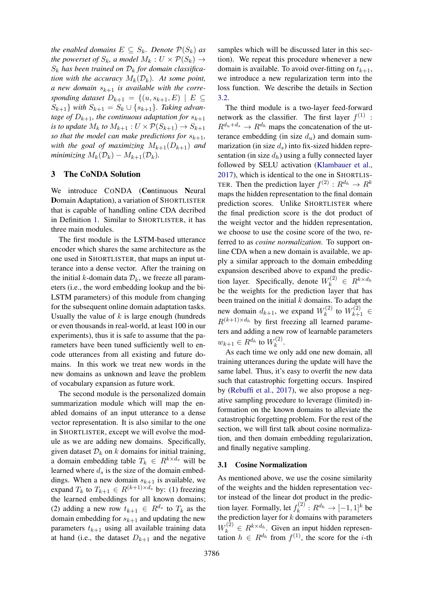*the enabled domains*  $E \subseteq S_k$ *. Denote*  $\mathcal{P}(S_k)$  *as the powerset of*  $S_k$ *, a model*  $M_k : U \times \mathcal{P}(S_k) \rightarrow$  $S_k$  has been trained on  $\mathcal{D}_k$  for domain classifica*tion with the accuracy*  $M_k(\mathcal{D}_k)$ . At some point, *a* new domain  $s_{k+1}$  is available with the corre*sponding dataset*  $D_{k+1} = \{(u, s_{k+1}, E) \mid E \subseteq$  $S_{k+1}$ } *with*  $S_{k+1} = S_k \cup \{s_{k+1}\}\$ . Taking advan*tage of*  $D_{k+1}$ *, the continuous adaptation for*  $s_{k+1}$ *is to update*  $M_k$  *to*  $M_{k+1}$  :  $U \times \mathcal{P}(S_{k+1}) \rightarrow S_{k+1}$ *so that the model can make predictions for*  $s_{k+1}$ , *with the goal of maximizing*  $M_{k+1}(D_{k+1})$  *and minimizing*  $M_k(\mathcal{D}_k) - M_{k+1}(\mathcal{D}_k)$ .

## 3 The CoNDA Solution

We introduce CONDA (Continuous Neural Domain Adaptation), a variation of SHORTLISTER that is capable of handling online CDA decribed in Definition [1.](#page-1-0) Similar to SHORTLISTER, it has three main modules.

The first module is the LSTM-based utterance encoder which shares the same architecture as the one used in SHORTLISTER, that maps an input utterance into a dense vector. After the training on the initial k-domain data  $\mathcal{D}_k$ , we freeze all parameters (i.e., the word embedding lookup and the bi-LSTM parameters) of this module from changing for the subsequent online domain adaptation tasks. Usually the value of  $k$  is large enough (hundreds or even thousands in real-world, at least 100 in our experiments), thus it is safe to assume that the parameters have been tuned sufficiently well to encode utterances from all existing and future domains. In this work we treat new words in the new domains as unknown and leave the problem of vocabulary expansion as future work.

The second module is the personalized domain summarization module which will map the enabled domains of an input utterance to a dense vector representation. It is also similar to the one in SHORTLISTER, except we will evolve the module as we are adding new domains. Specifically, given dataset  $\mathcal{D}_k$  on k domains for initial training, a domain embedding table  $T_k \in R^{k \times d_s}$  will be learned where  $d_s$  is the size of the domain embeddings. When a new domain  $s_{k+1}$  is available, we expand  $T_k$  to  $T_{k+1} \in R^{(k+1) \times d_s}$  by: (1) freezing the learned embeddings for all known domains; (2) adding a new row  $t_{k+1} \in R^{d_s}$  to  $T_k$  as the domain embedding for  $s_{k+1}$  and updating the new parameters  $t_{k+1}$  using all available training data at hand (i.e., the dataset  $D_{k+1}$  and the negative

samples which will be discussed later in this section). We repeat this procedure whenever a new domain is available. To avoid over-fitting on  $t_{k+1}$ , we introduce a new regularization term into the loss function. We describe the details in Section [3.2.](#page-3-0)

The third module is a two-layer feed-forward network as the classifier. The first layer  $f^{(1)}$ :  $R^{d_u+d_s} \to R^{d_h}$  maps the concatenation of the utterance embedding (in size  $d_u$ ) and domain summarization (in size  $d_s$ ) into fix-sized hidden representation (in size  $d_h$ ) using a fully connected layer followed by SELU activation [\(Klambauer et al.,](#page-9-8) [2017\)](#page-9-8), which is identical to the one in SHORTLIS-TER. Then the prediction layer  $f^{(2)} : R^{d_h} \to R^k$ maps the hidden representation to the final domain prediction scores. Unlike SHORTLISTER where the final prediction score is the dot product of the weight vector and the hidden representation, we choose to use the cosine score of the two, referred to as *cosine normalization*. To support online CDA when a new domain is available, we apply a similar approach to the domain embedding expansion described above to expand the prediction layer. Specifically, denote  $W_k^{(2)} \in R^{k \times d_h}$ be the weights for the prediction layer that has been trained on the initial  $k$  domains. To adapt the new domain  $d_{k+1}$ , we expand  $W_k^{(2)}$  $\bar{h}_k^{(2)}$  to  $W_{k+1}^{(2)} \in$  $R^{(k+1)\times d_h}$  by first freezing all learned parameters and adding a new row of learnable parameters  $w_{k+1} \in R^{d_h}$  to  $W_k^{(2)}$  $\frac{k^{(2)}}{k}$ .

As each time we only add one new domain, all training utterances during the update will have the same label. Thus, it's easy to overfit the new data such that catastrophic forgetting occurs. Inspired by [\(Rebuffi et al.,](#page-9-9) [2017\)](#page-9-9), we also propose a negative sampling procedure to leverage (limited) information on the known domains to alleviate the catastrophic forgetting problem. For the rest of the section, we will first talk about cosine normalization, and then domain embedding regularization, and finally negative sampling.

### 3.1 Cosine Normalization

As mentioned above, we use the cosine similarity of the weights and the hidden representation vector instead of the linear dot product in the prediction layer. Formally, let  $f_k^{(2)}$  $k^{(2)}: R^{d_h} \to [-1,1]^k$  be the prediction layer for  $k$  domains with parameters  $W_k^{(2)} \in R^{k \times d_h}$ . Given an input hidden representation  $h \in R^{d_h}$  from  $f^{(1)}$ , the score for the *i*-th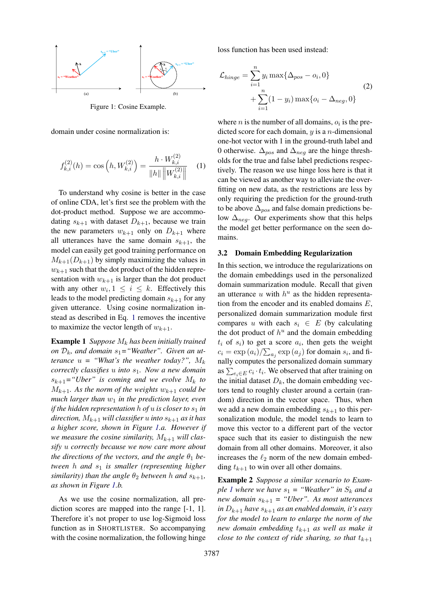<span id="page-3-2"></span>

Figure 1: Cosine Example.

domain under cosine normalization is:

<span id="page-3-1"></span>
$$
f_{k,i}^{(2)}(h) = \cos\left(h, W_{k,i}^{(2)}\right) = \frac{h \cdot W_{k,i}^{(2)}}{\|h\| \left\|W_{k,i}^{(2)}\right\|} \tag{1}
$$

To understand why cosine is better in the case of online CDA, let's first see the problem with the dot-product method. Suppose we are accommodating  $s_{k+1}$  with dataset  $D_{k+1}$ , because we train the new parameters  $w_{k+1}$  only on  $D_{k+1}$  where all utterances have the same domain  $s_{k+1}$ , the model can easily get good training performance on  $M_{k+1}(D_{k+1})$  by simply maximizing the values in  $w_{k+1}$  such that the dot product of the hidden representation with  $w_{k+1}$  is larger than the dot product with any other  $w_i, 1 \leq i \leq k$ . Effectively this leads to the model predicting domain  $s_{k+1}$  for any given utterance. Using cosine normalization instead as described in Eq. [1](#page-3-1) removes the incentive to maximize the vector length of  $w_{k+1}$ .

<span id="page-3-3"></span>**Example 1** *Suppose*  $M_k$  *has been initially trained* on  $\mathcal{D}_k$ , and domain  $s_1$ = "Weather". Given an ut*terance*  $u =$  "What's the weather today?",  $M_k$ *correctly classifies* u *into* s1*. Now a new domain*  $s_{k+1}$ ="Uber" is coming and we evolve  $M_k$  to  $M_{k+1}$ *. As the norm of the weights*  $w_{k+1}$  *could be much larger than*  $w_1$  *in the prediction layer, even if the hidden representation*  $h$  *of*  $u$  *is closer to*  $s<sub>1</sub>$  *in direction,*  $M_{k+1}$  *will classifier u into*  $s_{k+1}$  *as it has a higher score, shown in Figure [1.](#page-3-2)a. However if* we measure the cosine similarity,  $M_{k+1}$  will clas*sify* u *correctly because we now care more about the directions of the vectors, and the angle*  $\theta_1$  *between h and*  $s_1$  *is smaller (representing higher similarity) than the angle*  $\theta_2$  *between h and*  $s_{k+1}$ *, as shown in Figure [1.](#page-3-2)b.*

As we use the cosine normalization, all prediction scores are mapped into the range [-1, 1]. Therefore it's not proper to use log-Sigmoid loss function as in SHORTLISTER. So accompanying with the cosine normalization, the following hinge loss function has been used instead:

$$
\mathcal{L}_{hinge} = \sum_{i=1}^{n} y_i \max\{\Delta_{pos} - o_i, 0\}
$$

$$
+ \sum_{i=1}^{n} (1 - y_i) \max\{o_i - \Delta_{neg}, 0\}
$$
\n(2)

where  $n$  is the number of all domains,  $o_i$  is the predicted score for each domain,  $y$  is a  $n$ -dimensional one-hot vector with 1 in the ground-truth label and 0 otherwise.  $\Delta_{pos}$  and  $\Delta_{neg}$  are the hinge thresholds for the true and false label predictions respectively. The reason we use hinge loss here is that it can be viewed as another way to alleviate the overfitting on new data, as the restrictions are less by only requiring the prediction for the ground-truth to be above  $\Delta_{pos}$  and false domain predictions below  $\Delta_{neq}$ . Our experiments show that this helps the model get better performance on the seen domains.

### <span id="page-3-0"></span>3.2 Domain Embedding Regularization

In this section, we introduce the regularizations on the domain embeddings used in the personalized domain summarization module. Recall that given an utterance  $u$  with  $h^u$  as the hidden representation from the encoder and its enabled domains  $E$ , personalized domain summarization module first compares u with each  $s_i \in E$  (by calculating the dot product of  $h^u$  and the domain embedding  $t_i$  of  $s_i$ ) to get a score  $a_i$ , then gets the weight  $c_i = \exp(a_i) / \sum_{a_j} \exp(a_j)$  for domain  $s_i$ , and finally computes the personalized domain summary as  $\sum_{e_i \in E} c_i \cdot t_i$ . We observed that after training on the initial dataset  $D_k$ , the domain embedding vectors tend to roughly cluster around a certain (random) direction in the vector space. Thus, when we add a new domain embedding  $s_{k+1}$  to this personalization module, the model tends to learn to move this vector to a different part of the vector space such that its easier to distinguish the new domain from all other domains. Moreover, it also increases the  $\ell_2$  norm of the new domain embedding  $t_{k+1}$  to win over all other domains.

<span id="page-3-4"></span>Example 2 *Suppose a similar scenario to Example [1](#page-3-3)* where we have  $s_1$  = "Weather" in  $S_k$  and a *new domain*  $s_{k+1}$  = "Uber". As most utterances *in*  $D_{k+1}$  *have*  $s_{k+1}$  *as an enabled domain, it's easy for the model to learn to enlarge the norm of the new domain embedding*  $t_{k+1}$  *as well as make it close to the context of ride sharing, so that*  $t_{k+1}$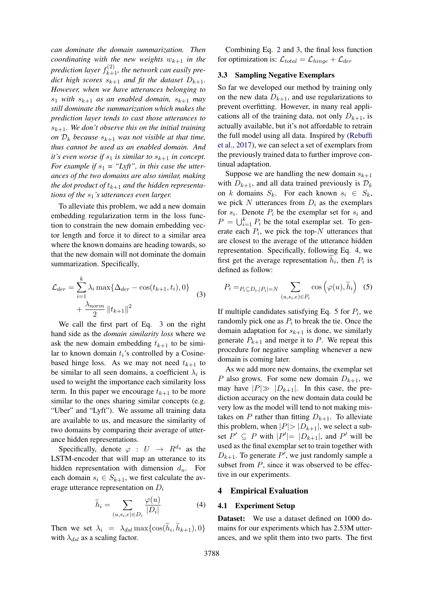*can dominate the domain summarization. Then coordinating with the new weights*  $w_{k+1}$  *in the* prediction layer  $f_{k+1}^{(2)}$ , the network can easily pre*dict high scores*  $s_{k+1}$  *and fit the dataset*  $D_{k+1}$ *. However, when we have utterances belonging to*  $s_1$  *with*  $s_{k+1}$  *as an enabled domain,*  $s_{k+1}$  *may still dominate the summarization which makes the prediction layer tends to cast those utterances to* sk+1*. We don't observe this on the initial training on*  $\mathcal{D}_k$  *because*  $s_{k+1}$  *was not visible at that time, thus cannot be used as an enabled domain. And it's even worse if*  $s_1$  *is similar to*  $s_{k+1}$  *in concept. For example if*  $s_1 = "Lyft",$  *in this case the utterances of the two domains are also similar, making* the dot product of  $t_{k+1}$  and the hidden representa*tions of the*  $s_1$ *'s utterances even larger.* 

To alleviate this problem, we add a new domain embedding regularization term in the loss function to constrain the new domain embedding vector length and force it to direct to a similar area where the known domains are heading towards, so that the new domain will not dominate the domain summarization. Specifically,

$$
\mathcal{L}_{der} = \sum_{i=1}^{k} \lambda_i \max\{\Delta_{der} - \cos(t_{k+1}, t_i), 0\} + \frac{\lambda_{norm}}{2} ||t_{k+1}||^2
$$
\n(3)

We call the first part of Eq. [3](#page-3-4) on the right hand side as the *domain similarity loss* where we ask the new domain embedding  $t_{k+1}$  to be similar to known domain  $t_i$ 's controlled by a Cosinebased hinge loss. As we may not need  $t_{k+1}$  to be similar to all seen domains, a coefficient  $\lambda_i$  is used to weight the importance each similarity loss term. In this paper we encourage  $t_{k+1}$  to be more similar to the ones sharing similar concepts (e.g. "Uber" and "Lyft"). We assume all training data are available to us, and measure the similarity of two domains by comparing their average of utterance hidden representations.

Specifically, denote  $\varphi : U \to R^{d_u}$  as the LSTM-encoder that will map an utterance to its hidden representation with dimension  $d_u$ . For each domain  $s_i \in S_{k+1}$ , we first calculate the average utterance representation on  $D_i$ 

<span id="page-4-0"></span>
$$
\widetilde{h}_i = \sum_{(u,s_i,e) \in D_i} \frac{\varphi(u)}{|D_i|} \tag{4}
$$

Then we set  $\lambda_i = \lambda_{dsl} \max\{\cos(h_i, h_{k+1}), 0\}$ with  $\lambda_{dsl}$  as a scaling factor.

Combining Eq. [2](#page-3-3) and [3,](#page-3-4) the final loss function for optimization is:  $\mathcal{L}_{total} = \mathcal{L}_{hinge} + \mathcal{L}_{der}$ 

### 3.3 Sampling Negative Exemplars

So far we developed our method by training only on the new data  $D_{k+1}$ , and use regularizations to prevent overfitting. However, in many real applications all of the training data, not only  $D_{k+1}$ , is actually available, but it's not affordable to retrain the full model using all data. Inspired by [\(Rebuffi](#page-9-9) [et al.,](#page-9-9) [2017\)](#page-9-9), we can select a set of exemplars from the previously trained data to further improve continual adaptation.

Suppose we are handling the new domain  $s_{k+1}$ with  $D_{k+1}$ , and all data trained previously is  $\mathcal{D}_k$ on k domains  $S_k$ . For each known  $s_i \in S_k$ , we pick  $N$  utterances from  $D_i$  as the exemplars for  $s_i$ . Denote  $P_i$  be the exemplar set for  $s_i$  and  $P = \bigcup_{i=1}^{k} P_i$  be the total exemplar set. To generate each  $P_i$ , we pick the top-N utterances that are closest to the average of the utterance hidden representation. Specifically, following Eq. [4,](#page-4-0) we first get the average representation  $h_i$ , then  $P_i$  is defined as follow:

<span id="page-4-1"></span>
$$
P_i =_{P_i \subseteq D_i, |P_i| = N} \sum_{(u, s_i, e) \in P_i} \cos \left(\varphi(u), \tilde{h}_i\right) \tag{5}
$$

If multiple candidates satisfying Eq. [5](#page-4-1) for  $P_i$ , we randomly pick one as  $P_i$  to break the tie. Once the domain adaptation for  $s_{k+1}$  is done, we similarly generate  $P_{k+1}$  and merge it to P. We repeat this procedure for negative sampling whenever a new domain is coming later.

As we add more new domains, the exemplar set P also grows. For some new domain  $D_{k+1}$ , we may have  $|P| \gg |D_{k+1}|$ . In this case, the prediction accuracy on the new domain data could be very low as the model will tend to not making mistakes on P rather than fitting  $D_{k+1}$ . To alleviate this problem, when  $|P|>|D_{k+1}|$ , we select a subset  $P' \subseteq P$  with  $|P'| = |D_{k+1}|$ , and P' will be used as the final exemplar set to train together with  $D_{k+1}$ . To generate P', we just randomly sample a subset from  $P$ , since it was observed to be effective in our experiments.

#### 4 Empirical Evaluation

#### 4.1 Experiment Setup

Dataset: We use a dataset defined on 1000 domains for our experiments which has 2.53M utterances, and we split them into two parts. The first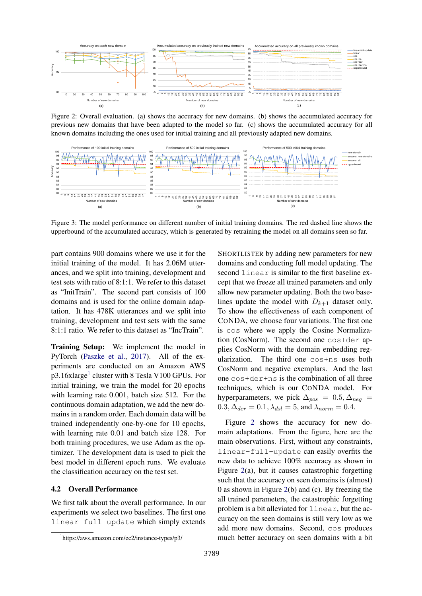<span id="page-5-1"></span>

Figure 2: Overall evaluation. (a) shows the accuracy for new domains. (b) shows the accumulated accuracy for previous new domains that have been adapted to the model so far. (c) shows the accumulated accuracy for all known domains including the ones used for initial training and all previously adapted new domains.

<span id="page-5-2"></span>

Figure 3: The model performance on different number of initial training domains. The red dashed line shows the upperbound of the accumulated accuracy, which is generated by retraining the model on all domains seen so far.

part contains 900 domains where we use it for the initial training of the model. It has 2.06M utterances, and we split into training, development and test sets with ratio of 8:1:1. We refer to this dataset as "InitTrain". The second part consists of 100 domains and is used for the online domain adaptation. It has 478K utterances and we split into training, development and test sets with the same 8:1:1 ratio. We refer to this dataset as "IncTrain".

Training Setup: We implement the model in PyTorch [\(Paszke et al.,](#page-9-10) [2017\)](#page-9-10). All of the experiments are conducted on an Amazon AWS p3.[1](#page-5-0)6xlarge<sup>1</sup> cluster with 8 Tesla V100 GPUs. For initial training, we train the model for 20 epochs with learning rate 0.001, batch size 512. For the continuous domain adaptation, we add the new domains in a random order. Each domain data will be trained independently one-by-one for 10 epochs, with learning rate 0.01 and batch size 128. For both training procedures, we use Adam as the optimizer. The development data is used to pick the best model in different epoch runs. We evaluate the classification accuracy on the test set.

#### 4.2 Overall Performance

We first talk about the overall performance. In our experiments we select two baselines. The first one linear-full-update which simply extends

Figure [2](#page-5-1) shows the accuracy for new domain adaptations. From the figure, here are the main observations. First, without any constraints, linear-full-update can easily overfits the new data to achieve 100% accuracy as shown in Figure [2\(](#page-5-1)a), but it causes catastrophic forgetting such that the accuracy on seen domains is (almost) 0 as shown in Figure [2\(](#page-5-1)b) and (c). By freezing the all trained parameters, the catastrophic forgetting problem is a bit alleviated for linear, but the accuracy on the seen domains is still very low as we add more new domains. Second, cos produces much better accuracy on seen domains with a bit

SHORTLISTER by adding new parameters for new domains and conducting full model updating. The second linear is similar to the first baseline except that we freeze all trained parameters and only allow new parameter updating. Both the two baselines update the model with  $D_{k+1}$  dataset only. To show the effectiveness of each component of CONDA, we choose four variations. The first one is cos where we apply the Cosine Normalization (CosNorm). The second one cos+der applies CosNorm with the domain embedding regularization. The third one cos+ns uses both CosNorm and negative exemplars. And the last one cos+der+ns is the combination of all three techniques, which is our CONDA model. For hyperparameters, we pick  $\Delta_{pos} = 0.5, \Delta_{neg} =$  $0.3, \Delta_{der} = 0.1, \lambda_{dsl} = 5$ , and  $\lambda_{norm} = 0.4$ .

<span id="page-5-0"></span><sup>1</sup> https://aws.amazon.com/ec2/instance-types/p3/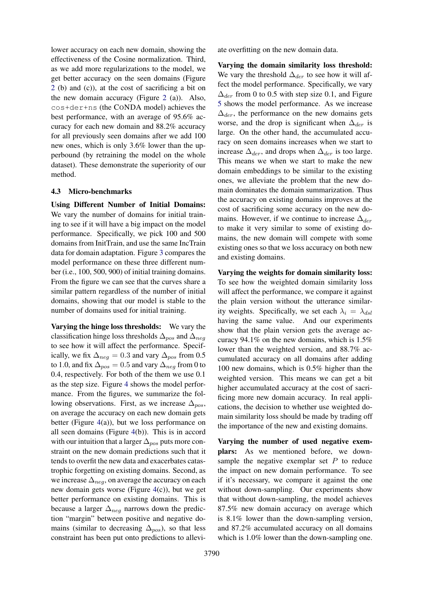lower accuracy on each new domain, showing the effectiveness of the Cosine normalization. Third, as we add more regularizations to the model, we get better accuracy on the seen domains (Figure [2](#page-5-1) (b) and (c)), at the cost of sacrificing a bit on the new domain accuracy (Figure [2](#page-5-1) (a)). Also, cos+der+ns (the CONDA model) achieves the best performance, with an average of 95.6% accuracy for each new domain and 88.2% accuracy for all previously seen domains after we add 100 new ones, which is only 3.6% lower than the upperbound (by retraining the model on the whole dataset). These demonstrate the superiority of our method.

### 4.3 Micro-benchmarks

Using Different Number of Initial Domains: We vary the number of domains for initial training to see if it will have a big impact on the model performance. Specifically, we pick 100 and 500 domains from InitTrain, and use the same IncTrain data for domain adaptation. Figure [3](#page-5-2) compares the model performance on these three different number (i.e., 100, 500, 900) of initial training domains. From the figure we can see that the curves share a similar pattern regardless of the number of initial domains, showing that our model is stable to the number of domains used for initial training.

Varying the hinge loss thresholds: We vary the classification hinge loss thresholds  $\Delta_{pos}$  and  $\Delta_{neg}$ to see how it will affect the performance. Specifically, we fix  $\Delta_{neq} = 0.3$  and vary  $\Delta_{pos}$  from 0.5 to 1.0, and fix  $\Delta_{pos} = 0.5$  and vary  $\Delta_{neg}$  from 0 to 0.4, respectively. For both of the them we use 0.1 as the step size. Figure [4](#page-7-0) shows the model performance. From the figures, we summarize the following observations. First, as we increase  $\Delta_{pos}$ , on average the accuracy on each new domain gets better (Figure [4\(](#page-7-0)a)), but we loss performance on all seen domains (Figure [4\(](#page-7-0)b)). This is in accord with our intuition that a larger  $\Delta_{pos}$  puts more constraint on the new domain predictions such that it tends to overfit the new data and exacerbates catastrophic forgetting on existing domains. Second, as we increase  $\Delta_{neq}$ , on average the accuracy on each new domain gets worse (Figure [4\(](#page-7-0)c)), but we get better performance on existing domains. This is because a larger  $\Delta_{neg}$  narrows down the prediction "margin" between positive and negative domains (similar to decreasing  $\Delta_{pos}$ ), so that less constraint has been put onto predictions to alleviate overfitting on the new domain data.

Varying the domain similarity loss threshold: We vary the threshold  $\Delta_{der}$  to see how it will affect the model performance. Specifically, we vary  $\Delta_{der}$  from 0 to 0.5 with step size 0.1, and Figure [5](#page-8-0) shows the model performance. As we increase  $\Delta_{der}$ , the performance on the new domains gets worse, and the drop is significant when  $\Delta_{der}$  is large. On the other hand, the accumulated accuracy on seen domains increases when we start to increase  $\Delta_{der}$ , and drops when  $\Delta_{der}$  is too large. This means we when we start to make the new domain embeddings to be similar to the existing ones, we alleviate the problem that the new domain dominates the domain summarization. Thus the accuracy on existing domains improves at the cost of sacrificing some accuracy on the new domains. However, if we continue to increase  $\Delta_{der}$ to make it very similar to some of existing domains, the new domain will compete with some existing ones so that we loss accuracy on both new and existing domains.

Varying the weights for domain similarity loss: To see how the weighted domain similarity loss will affect the performance, we compare it against the plain version without the utterance similarity weights. Specifically, we set each  $\lambda_i = \lambda_{ds}$ having the same value. And our experiments show that the plain version gets the average accuracy 94.1% on the new domains, which is 1.5% lower than the weighted version, and 88.7% accumulated accuracy on all domains after adding 100 new domains, which is 0.5% higher than the weighted version. This means we can get a bit higher accumulated accuracy at the cost of sacrificing more new domain accuracy. In real applications, the decision to whether use weighted domain similarity loss should be made by trading off the importance of the new and existing domains.

Varying the number of used negative exemplars: As we mentioned before, we downsample the negative exemplar set  $P$  to reduce the impact on new domain performance. To see if it's necessary, we compare it against the one without down-sampling. Our experiments show that without down-sampling, the model achieves 87.5% new domain accuracy on average which is 8.1% lower than the down-sampling version, and 87.2% accumulated accuracy on all domains which is 1.0% lower than the down-sampling one.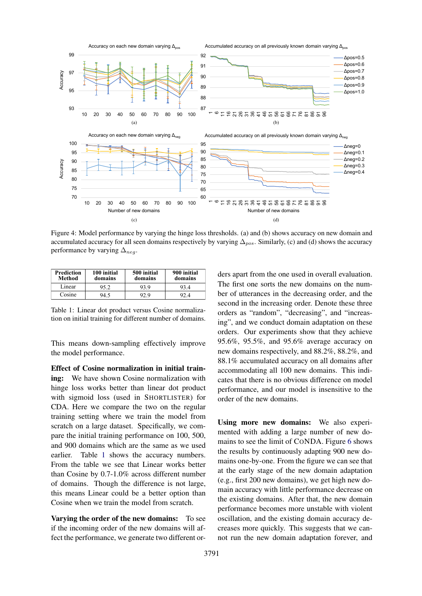<span id="page-7-0"></span>

Figure 4: Model performance by varying the hinge loss thresholds. (a) and (b) shows accuracy on new domain and accumulated accuracy for all seen domains respectively by varying  $\Delta_{pos}$ . Similarly, (c) and (d) shows the accuracy performance by varying  $\Delta_{neq}$ .

<span id="page-7-1"></span>

| <b>Prediction</b><br>Method | 100 initial<br>domains | 500 initial<br>domains | 900 initial<br>domains |
|-----------------------------|------------------------|------------------------|------------------------|
| Linear                      | 95 2                   | 93 9                   |                        |
| Cosine                      | 94 S                   |                        |                        |

Table 1: Linear dot product versus Cosine normalization on initial training for different number of domains.

This means down-sampling effectively improve the model performance.

Effect of Cosine normalization in initial training: We have shown Cosine normalization with hinge loss works better than linear dot product with sigmoid loss (used in SHORTLISTER) for CDA. Here we compare the two on the regular training setting where we train the model from scratch on a large dataset. Specifically, we compare the initial training performance on 100, 500, and 900 domains which are the same as we used earlier. Table [1](#page-7-1) shows the accuracy numbers. From the table we see that Linear works better than Cosine by 0.7-1.0% across different number of domains. Though the difference is not large, this means Linear could be a better option than Cosine when we train the model from scratch.

Varying the order of the new domains: To see if the incoming order of the new domains will affect the performance, we generate two different orders apart from the one used in overall evaluation. The first one sorts the new domains on the number of utterances in the decreasing order, and the second in the increasing order. Denote these three orders as "random", "decreasing", and "increasing", and we conduct domain adaptation on these orders. Our experiments show that they achieve 95.6%, 95.5%, and 95.6% average accuracy on new domains respectively, and 88.2%, 88.2%, and 88.1% accumulated accuracy on all domains after accommodating all 100 new domains. This indicates that there is no obvious difference on model performance, and our model is insensitive to the order of the new domains.

Using more new domains: We also experimented with adding a large number of new domains to see the limit of CONDA. Figure [6](#page-8-1) shows the results by continuously adapting 900 new domains one-by-one. From the figure we can see that at the early stage of the new domain adaptation (e.g., first 200 new domains), we get high new domain accuracy with little performance decrease on the existing domains. After that, the new domain performance becomes more unstable with violent oscillation, and the existing domain accuracy decreases more quickly. This suggests that we cannot run the new domain adaptation forever, and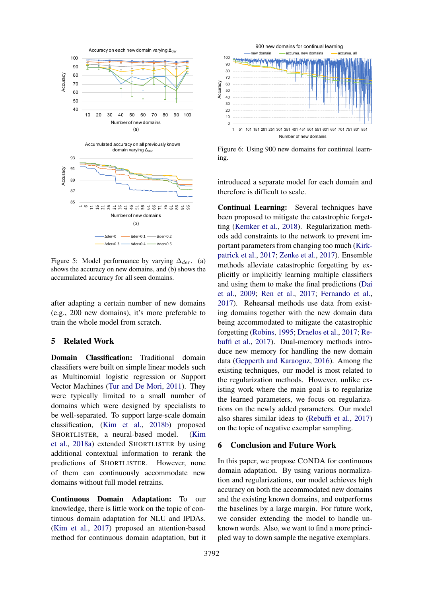<span id="page-8-0"></span>

Figure 5: Model performance by varying  $\Delta_{der}$ . (a) shows the accuracy on new domains, and (b) shows the accumulated accuracy for all seen domains.

after adapting a certain number of new domains (e.g., 200 new domains), it's more preferable to train the whole model from scratch.

# 5 Related Work

Domain Classification: Traditional domain classifiers were built on simple linear models such as Multinomial logistic regression or Support Vector Machines [\(Tur and De Mori,](#page-9-2) [2011\)](#page-9-2). They were typically limited to a small number of domains which were designed by specialists to be well-separated. To support large-scale domain classification, [\(Kim et al.,](#page-9-4) [2018b\)](#page-9-4) proposed SHORTLISTER, a neural-based model. [\(Kim](#page-9-11) [et al.,](#page-9-11) [2018a\)](#page-9-11) extended SHORTLISTER by using additional contextual information to rerank the predictions of SHORTLISTER. However, none of them can continuously accommodate new domains without full model retrains.

Continuous Domain Adaptation: To our knowledge, there is little work on the topic of continuous domain adaptation for NLU and IPDAs. [\(Kim et al.,](#page-9-12) [2017\)](#page-9-12) proposed an attention-based method for continuous domain adaptation, but it

<span id="page-8-1"></span>

Figure 6: Using 900 new domains for continual learning.

introduced a separate model for each domain and therefore is difficult to scale.

Continual Learning: Several techniques have been proposed to mitigate the catastrophic forgetting [\(Kemker et al.,](#page-9-5) [2018\)](#page-9-5). Regularization methods add constraints to the network to prevent important parameters from changing too much [\(Kirk](#page-9-13)[patrick et al.,](#page-9-13) [2017;](#page-9-13) [Zenke et al.,](#page-9-14) [2017\)](#page-9-14). Ensemble methods alleviate catastrophic forgetting by explicitly or implicitly learning multiple classifiers and using them to make the final predictions [\(Dai](#page-9-15) [et al.,](#page-9-15) [2009;](#page-9-15) [Ren et al.,](#page-9-16) [2017;](#page-9-16) [Fernando et al.,](#page-9-17) [2017\)](#page-9-17). Rehearsal methods use data from existing domains together with the new domain data being accommodated to mitigate the catastrophic forgetting [\(Robins,](#page-9-18) [1995;](#page-9-18) [Draelos et al.,](#page-9-19) [2017;](#page-9-19) [Re](#page-9-9)[buffi et al.,](#page-9-9) [2017\)](#page-9-9). Dual-memory methods introduce new memory for handling the new domain data [\(Gepperth and Karaoguz,](#page-9-20) [2016\)](#page-9-20). Among the existing techniques, our model is most related to the regularization methods. However, unlike existing work where the main goal is to regularize the learned parameters, we focus on regularizations on the newly added parameters. Our model also shares similar ideas to [\(Rebuffi et al.,](#page-9-9) [2017\)](#page-9-9) on the topic of negative exemplar sampling.

#### 6 Conclusion and Future Work

In this paper, we propose CONDA for continuous domain adaptation. By using various normalization and regularizations, our model achieves high accuracy on both the accommodated new domains and the existing known domains, and outperforms the baselines by a large margin. For future work, we consider extending the model to handle unknown words. Also, we want to find a more principled way to down sample the negative exemplars.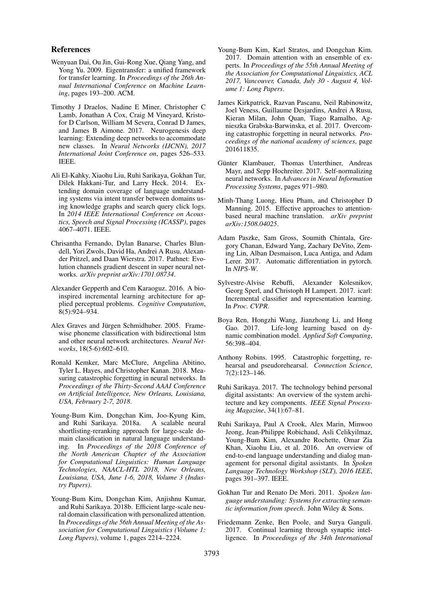#### References

- <span id="page-9-15"></span>Wenyuan Dai, Ou Jin, Gui-Rong Xue, Qiang Yang, and Yong Yu. 2009. Eigentransfer: a unified framework for transfer learning. In *Proceedings of the 26th Annual International Conference on Machine Learning*, pages 193–200. ACM.
- <span id="page-9-19"></span>Timothy J Draelos, Nadine E Miner, Christopher C Lamb, Jonathan A Cox, Craig M Vineyard, Kristofor D Carlson, William M Severa, Conrad D James, and James B Aimone. 2017. Neurogenesis deep learning: Extending deep networks to accommodate new classes. In *Neural Networks (IJCNN), 2017 International Joint Conference on*, pages 526–533. IEEE.
- <span id="page-9-3"></span>Ali El-Kahky, Xiaohu Liu, Ruhi Sarikaya, Gokhan Tur, Dilek Hakkani-Tur, and Larry Heck. 2014. Extending domain coverage of language understanding systems via intent transfer between domains using knowledge graphs and search query click logs. In *2014 IEEE International Conference on Acoustics, Speech and Signal Processing (ICASSP)*, pages 4067–4071. IEEE.
- <span id="page-9-17"></span>Chrisantha Fernando, Dylan Banarse, Charles Blundell, Yori Zwols, David Ha, Andrei A Rusu, Alexander Pritzel, and Daan Wierstra. 2017. Pathnet: Evolution channels gradient descent in super neural networks. *arXiv preprint arXiv:1701.08734*.
- <span id="page-9-20"></span>Alexander Gepperth and Cem Karaoguz. 2016. A bioinspired incremental learning architecture for applied perceptual problems. *Cognitive Computation*, 8(5):924–934.
- <span id="page-9-6"></span>Alex Graves and Jürgen Schmidhuber. 2005. Framewise phoneme classification with bidirectional lstm and other neural network architectures. *Neural Networks*, 18(5-6):602–610.
- <span id="page-9-5"></span>Ronald Kemker, Marc McClure, Angelina Abitino, Tyler L. Hayes, and Christopher Kanan. 2018. Measuring catastrophic forgetting in neural networks. In *Proceedings of the Thirty-Second AAAI Conference on Artificial Intelligence, New Orleans, Louisiana, USA, February 2-7, 2018*.
- <span id="page-9-11"></span>Young-Bum Kim, Dongchan Kim, Joo-Kyung Kim, and Ruhi Sarikaya. 2018a. A scalable neural shortlisting-reranking approach for large-scale domain classification in natural language understanding. In *Proceedings of the 2018 Conference of the North American Chapter of the Association for Computational Linguistics: Human Language Technologies, NAACL-HTL 2018, New Orleans, Louisiana, USA, June 1-6, 2018, Volume 3 (Industry Papers)*.
- <span id="page-9-4"></span>Young-Bum Kim, Dongchan Kim, Anjishnu Kumar, and Ruhi Sarikaya. 2018b. Efficient large-scale neural domain classification with personalized attention. In *Proceedings of the 56th Annual Meeting of the Association for Computational Linguistics (Volume 1: Long Papers)*, volume 1, pages 2214–2224.
- <span id="page-9-12"></span>Young-Bum Kim, Karl Stratos, and Dongchan Kim. 2017. Domain attention with an ensemble of experts. In *Proceedings of the 55th Annual Meeting of the Association for Computational Linguistics, ACL 2017, Vancouver, Canada, July 30 - August 4, Volume 1: Long Papers*.
- <span id="page-9-13"></span>James Kirkpatrick, Razvan Pascanu, Neil Rabinowitz, Joel Veness, Guillaume Desjardins, Andrei A Rusu, Kieran Milan, John Quan, Tiago Ramalho, Agnieszka Grabska-Barwinska, et al. 2017. Overcoming catastrophic forgetting in neural networks. *Proceedings of the national academy of sciences*, page 201611835.
- <span id="page-9-8"></span>Günter Klambauer, Thomas Unterthiner, Andreas Mayr, and Sepp Hochreiter. 2017. Self-normalizing neural networks. In *Advances in Neural Information Processing Systems*, pages 971–980.
- <span id="page-9-7"></span>Minh-Thang Luong, Hieu Pham, and Christopher D Manning. 2015. Effective approaches to attentionbased neural machine translation. *arXiv preprint arXiv:1508.04025*.
- <span id="page-9-10"></span>Adam Paszke, Sam Gross, Soumith Chintala, Gregory Chanan, Edward Yang, Zachary DeVito, Zeming Lin, Alban Desmaison, Luca Antiga, and Adam Lerer. 2017. Automatic differentiation in pytorch. In *NIPS-W*.
- <span id="page-9-9"></span>Sylvestre-Alvise Rebuffi, Alexander Kolesnikov, Georg Sperl, and Christoph H Lampert. 2017. icarl: Incremental classifier and representation learning. In *Proc. CVPR*.
- <span id="page-9-16"></span>Boya Ren, Hongzhi Wang, Jianzhong Li, and Hong Life-long learning based on dynamic combination model. *Applied Soft Computing*, 56:398–404.
- <span id="page-9-18"></span>Anthony Robins. 1995. Catastrophic forgetting, rehearsal and pseudorehearsal. *Connection Science*, 7(2):123–146.
- <span id="page-9-0"></span>Ruhi Sarikaya. 2017. The technology behind personal digital assistants: An overview of the system architecture and key components. *IEEE Signal Processing Magazine*, 34(1):67–81.
- <span id="page-9-1"></span>Ruhi Sarikaya, Paul A Crook, Alex Marin, Minwoo Jeong, Jean-Philippe Robichaud, Asli Celikyilmaz, Young-Bum Kim, Alexandre Rochette, Omar Zia Khan, Xiaohu Liu, et al. 2016. An overview of end-to-end language understanding and dialog management for personal digital assistants. In *Spoken Language Technology Workshop (SLT), 2016 IEEE*, pages 391–397. IEEE.
- <span id="page-9-2"></span>Gokhan Tur and Renato De Mori. 2011. *Spoken language understanding: Systems for extracting semantic information from speech*. John Wiley & Sons.
- <span id="page-9-14"></span>Friedemann Zenke, Ben Poole, and Surya Ganguli. 2017. Continual learning through synaptic intelligence. In *Proceedings of the 34th International*